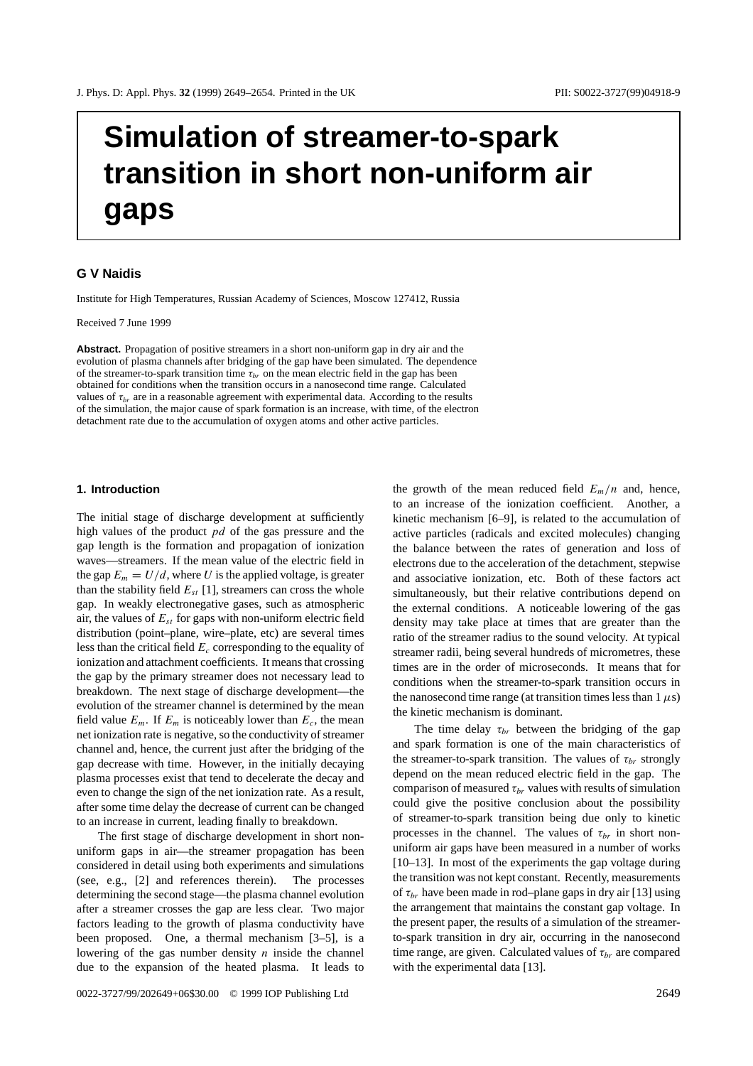# **Simulation of streamer-to-spark transition in short non-uniform air gaps**

## **G V Naidis**

Institute for High Temperatures, Russian Academy of Sciences, Moscow 127412, Russia

Received 7 June 1999

**Abstract.** Propagation of positive streamers in a short non-uniform gap in dry air and the evolution of plasma channels after bridging of the gap have been simulated. The dependence of the streamer-to-spark transition time  $\tau_{br}$  on the mean electric field in the gap has been obtained for conditions when the transition occurs in a nanosecond time range. Calculated values of  $\tau_{br}$  are in a reasonable agreement with experimental data. According to the results of the simulation, the major cause of spark formation is an increase, with time, of the electron detachment rate due to the accumulation of oxygen atoms and other active particles.

## **1. Introduction**

The initial stage of discharge development at sufficiently high values of the product *pd* of the gas pressure and the gap length is the formation and propagation of ionization waves—streamers. If the mean value of the electric field in the gap  $E_m = U/d$ , where *U* is the applied voltage, is greater than the stability field  $E_{st}$  [1], streamers can cross the whole gap. In weakly electronegative gases, such as atmospheric air, the values of  $E_{st}$  for gaps with non-uniform electric field distribution (point–plane, wire–plate, etc) are several times less than the critical field *Ec* corresponding to the equality of ionization and attachment coefficients. It means that crossing the gap by the primary streamer does not necessary lead to breakdown. The next stage of discharge development—the evolution of the streamer channel is determined by the mean field value  $E_m$ . If  $E_m$  is noticeably lower than  $E_c$ , the mean net ionization rate is negative, so the conductivity of streamer channel and, hence, the current just after the bridging of the gap decrease with time. However, in the initially decaying plasma processes exist that tend to decelerate the decay and even to change the sign of the net ionization rate. As a result, after some time delay the decrease of current can be changed to an increase in current, leading finally to breakdown.

The first stage of discharge development in short nonuniform gaps in air—the streamer propagation has been considered in detail using both experiments and simulations (see, e.g., [2] and references therein). The processes determining the second stage—the plasma channel evolution after a streamer crosses the gap are less clear. Two major factors leading to the growth of plasma conductivity have been proposed. One, a thermal mechanism [3–5], is a lowering of the gas number density *n* inside the channel due to the expansion of the heated plasma. It leads to

the growth of the mean reduced field  $E_m/n$  and, hence, to an increase of the ionization coefficient. Another, a kinetic mechanism [6–9], is related to the accumulation of active particles (radicals and excited molecules) changing the balance between the rates of generation and loss of electrons due to the acceleration of the detachment, stepwise and associative ionization, etc. Both of these factors act simultaneously, but their relative contributions depend on the external conditions. A noticeable lowering of the gas density may take place at times that are greater than the ratio of the streamer radius to the sound velocity. At typical streamer radii, being several hundreds of micrometres, these times are in the order of microseconds. It means that for conditions when the streamer-to-spark transition occurs in the nanosecond time range (at transition times less than  $1 \mu s$ ) the kinetic mechanism is dominant.

The time delay  $\tau_{br}$  between the bridging of the gap and spark formation is one of the main characteristics of the streamer-to-spark transition. The values of  $\tau_{br}$  strongly depend on the mean reduced electric field in the gap. The comparison of measured  $\tau_{br}$  values with results of simulation could give the positive conclusion about the possibility of streamer-to-spark transition being due only to kinetic processes in the channel. The values of  $\tau_{br}$  in short nonuniform air gaps have been measured in a number of works [10–13]. In most of the experiments the gap voltage during the transition was not kept constant. Recently, measurements of  $\tau_{br}$  have been made in rod–plane gaps in dry air [13] using the arrangement that maintains the constant gap voltage. In the present paper, the results of a simulation of the streamerto-spark transition in dry air, occurring in the nanosecond time range, are given. Calculated values of  $\tau_{br}$  are compared with the experimental data [13].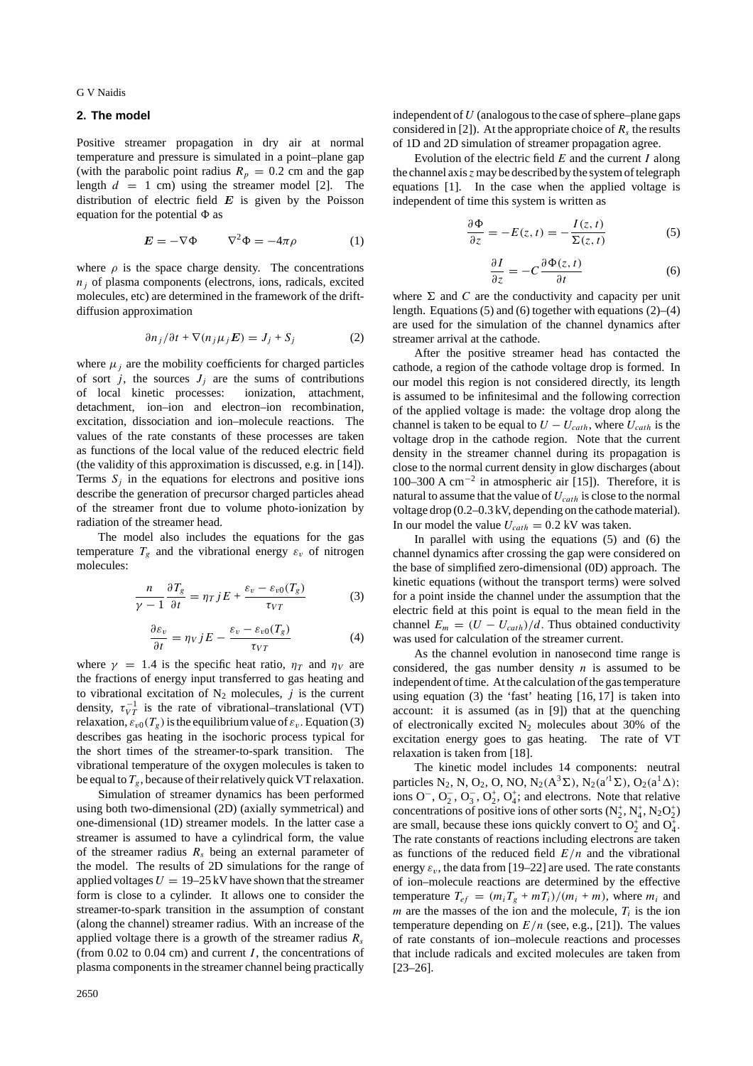G V Naidis

### **2. The model**

Positive streamer propagation in dry air at normal temperature and pressure is simulated in a point–plane gap (with the parabolic point radius  $R_p = 0.2$  cm and the gap length  $d = 1$  cm) using the streamer model [2]. The distribution of electric field  $E$  is given by the Poisson equation for the potential  $\Phi$  as

$$
E = -\nabla \Phi \qquad \nabla^2 \Phi = -4\pi \rho \tag{1}
$$

where  $\rho$  is the space charge density. The concentrations  $n_i$  of plasma components (electrons, ions, radicals, excited molecules, etc) are determined in the framework of the driftdiffusion approximation

$$
\partial n_j/\partial t + \nabla (n_j \mu_j E) = J_j + S_j \tag{2}
$$

where  $\mu_i$  are the mobility coefficients for charged particles of sort *j*, the sources  $J_j$  are the sums of contributions of local kinetic processes: ionization, attachment, detachment, ion–ion and electron–ion recombination, excitation, dissociation and ion–molecule reactions. The values of the rate constants of these processes are taken as functions of the local value of the reduced electric field (the validity of this approximation is discussed, e.g. in [14]). Terms  $S_i$  in the equations for electrons and positive ions describe the generation of precursor charged particles ahead of the streamer front due to volume photo-ionization by radiation of the streamer head.

The model also includes the equations for the gas temperature  $T_g$  and the vibrational energy  $\varepsilon_v$  of nitrogen molecules:

$$
\frac{n}{\gamma - 1} \frac{\partial T_g}{\partial t} = \eta_T j E + \frac{\varepsilon_v - \varepsilon_{v0}(T_g)}{\tau_{VT}}
$$
(3)

$$
\frac{\partial \varepsilon_v}{\partial t} = \eta_V j E - \frac{\varepsilon_v - \varepsilon_{v0}(T_g)}{\tau_{VT}}
$$
(4)

where  $\gamma = 1.4$  is the specific heat ratio,  $\eta_T$  and  $\eta_V$  are the fractions of energy input transferred to gas heating and to vibrational excitation of  $N_2$  molecules, *j* is the current density,  $\tau_{VT}^{-1}$  is the rate of vibrational–translational (VT) relaxation,  $\varepsilon_{v0}(T_g)$  is the equilibrium value of  $\varepsilon_v$ . Equation (3) describes gas heating in the isochoric process typical for the short times of the streamer-to-spark transition. The vibrational temperature of the oxygen molecules is taken to be equal to  $T_g$ , because of their relatively quick VT relaxation.

Simulation of streamer dynamics has been performed using both two-dimensional (2D) (axially symmetrical) and one-dimensional (1D) streamer models. In the latter case a streamer is assumed to have a cylindrical form, the value of the streamer radius *Rs* being an external parameter of the model. The results of 2D simulations for the range of applied voltages  $U = 19-25$  kV have shown that the streamer form is close to a cylinder. It allows one to consider the streamer-to-spark transition in the assumption of constant (along the channel) streamer radius. With an increase of the applied voltage there is a growth of the streamer radius *Rs* (from  $0.02$  to  $0.04$  cm) and current *I*, the concentrations of plasma components in the streamer channel being practically

independent of *U* (analogous to the case of sphere–plane gaps considered in [2]). At the appropriate choice of  $R_s$  the results of 1D and 2D simulation of streamer propagation agree.

Evolution of the electric field *E* and the current *I* along the channel axis *z* may be described by the system of telegraph equations [1]. In the case when the applied voltage is independent of time this system is written as

$$
\frac{\partial \Phi}{\partial z} = -E(z, t) = -\frac{I(z, t)}{\Sigma(z, t)}
$$
(5)

$$
\frac{\partial I}{\partial z} = -C \frac{\partial \Phi(z, t)}{\partial t}
$$
 (6)

where  $\Sigma$  and *C* are the conductivity and capacity per unit length. Equations  $(5)$  and  $(6)$  together with equations  $(2)$ – $(4)$ are used for the simulation of the channel dynamics after streamer arrival at the cathode.

After the positive streamer head has contacted the cathode, a region of the cathode voltage drop is formed. In our model this region is not considered directly, its length is assumed to be infinitesimal and the following correction of the applied voltage is made: the voltage drop along the channel is taken to be equal to  $U - U_{cath}$ , where  $U_{cath}$  is the voltage drop in the cathode region. Note that the current density in the streamer channel during its propagation is close to the normal current density in glow discharges (about 100–300 A cm−<sup>2</sup> in atmospheric air [15]). Therefore, it is natural to assume that the value of *Ucath* is close to the normal voltage drop (0.2–0.3 kV, depending on the cathode material). In our model the value  $U_{\text{cath}} = 0.2$  kV was taken.

In parallel with using the equations (5) and (6) the channel dynamics after crossing the gap were considered on the base of simplified zero-dimensional (0D) approach. The kinetic equations (without the transport terms) were solved for a point inside the channel under the assumption that the electric field at this point is equal to the mean field in the channel  $E_m = (U - U_{cath})/d$ . Thus obtained conductivity was used for calculation of the streamer current.

As the channel evolution in nanosecond time range is considered, the gas number density  $n$  is assumed to be independent of time. At the calculation of the gas temperature using equation (3) the 'fast' heating [16, 17] is taken into account: it is assumed (as in [9]) that at the quenching of electronically excited  $N_2$  molecules about 30% of the excitation energy goes to gas heating. The rate of VT relaxation is taken from [18].

The kinetic model includes 14 components: neutral particles N<sub>2</sub>, N, O<sub>2</sub>, O, NO, N<sub>2</sub>( $A^3\Sigma$ ), N<sub>2</sub>( $a^1\Sigma$ ), O<sub>2</sub>( $a^1\Delta$ ); ions  $O^-$ ,  $O_2^-$ ,  $O_3^+$ ,  $O_2^+$ ,  $O_4^+$ ; and electrons. Note that relative concentrations of positive ions of other sorts  $(N_2^+, N_4^+, N_2O_2^+)$ are small, because these ions quickly convert to  $O_2^+$  and  $O_4^+$ . The rate constants of reactions including electrons are taken as functions of the reduced field *E/n* and the vibrational energy  $\varepsilon_v$ , the data from [19–22] are used. The rate constants of ion–molecule reactions are determined by the effective temperature  $T_{ef} = (m_i T_g + m_i) / (m_i + m)$ , where  $m_i$  and  $m$  are the masses of the ion and the molecule,  $T_i$  is the ion temperature depending on  $E/n$  (see, e.g., [21]). The values of rate constants of ion–molecule reactions and processes that include radicals and excited molecules are taken from [23–26].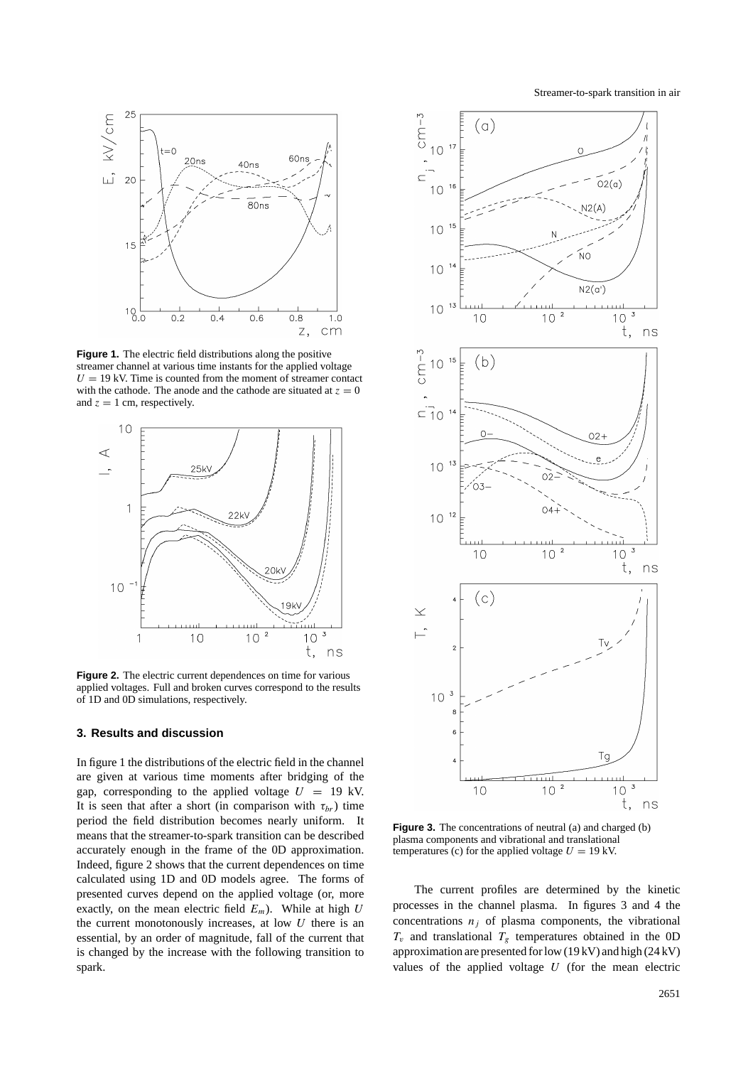Streamer-to-spark transition in air



**Figure 1.** The electric field distributions along the positive streamer channel at various time instants for the applied voltage  $U = 19$  kV. Time is counted from the moment of streamer contact with the cathode. The anode and the cathode are situated at  $z = 0$ and  $z = 1$  cm, respectively.



**Figure 2.** The electric current dependences on time for various applied voltages. Full and broken curves correspond to the results of 1D and 0D simulations, respectively.

### **3. Results and discussion**

In figure 1 the distributions of the electric field in the channel are given at various time moments after bridging of the gap, corresponding to the applied voltage  $U = 19$  kV. It is seen that after a short (in comparison with  $\tau_{br}$ ) time period the field distribution becomes nearly uniform. It means that the streamer-to-spark transition can be described accurately enough in the frame of the 0D approximation. Indeed, figure 2 shows that the current dependences on time calculated using 1D and 0D models agree. The forms of presented curves depend on the applied voltage (or, more exactly, on the mean electric field  $E_m$ ). While at high  $U$ the current monotonously increases, at low *U* there is an essential, by an order of magnitude, fall of the current that is changed by the increase with the following transition to spark.



**Figure 3.** The concentrations of neutral (a) and charged (b) plasma components and vibrational and translational temperatures (c) for the applied voltage  $U = 19$  kV.

The current profiles are determined by the kinetic processes in the channel plasma. In figures 3 and 4 the concentrations  $n_j$  of plasma components, the vibrational  $T_v$  and translational  $T_g$  temperatures obtained in the OD approximation are presented for low (19 kV) and high (24 kV) values of the applied voltage *U* (for the mean electric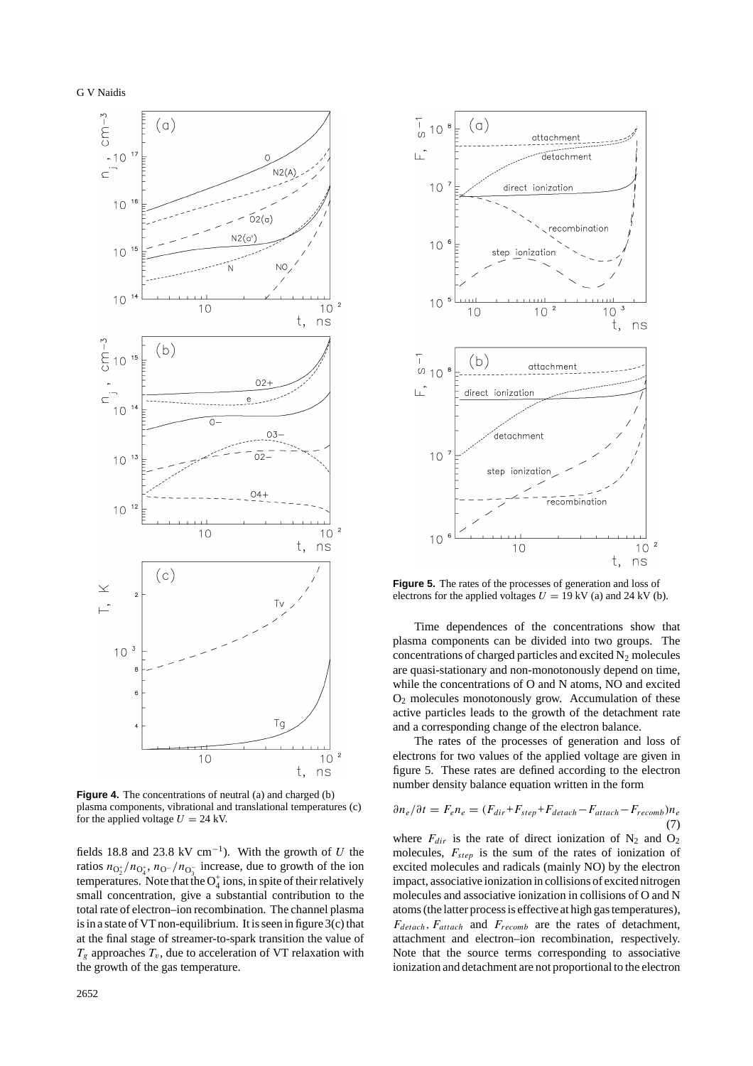

**Figure 4.** The concentrations of neutral (a) and charged (b) plasma components, vibrational and translational temperatures (c) for the applied voltage  $U = 24$  kV.

fields 18.8 and 23.8 kV cm<sup>-1</sup>). With the growth of *U* the ratios  $n_{\text{O}_2^+}/n_{\text{O}_4^+}$ ,  $n_{\text{O}^-}/n_{\text{O}_3^-}$  increase, due to growth of the ion temperatures. Note that the  $O_4^+$  ions, in spite of their relatively small concentration, give a substantial contribution to the total rate of electron–ion recombination. The channel plasma is in a state of VT non-equilibrium. It is seen in figure 3(c) that at the final stage of streamer-to-spark transition the value of  $T_g$  approaches  $T_v$ , due to acceleration of VT relaxation with the growth of the gas temperature.



**Figure 5.** The rates of the processes of generation and loss of electrons for the applied voltages  $U = 19$  kV (a) and 24 kV (b).

Time dependences of the concentrations show that plasma components can be divided into two groups. The concentrations of charged particles and excited  $N_2$  molecules are quasi-stationary and non-monotonously depend on time, while the concentrations of O and N atoms, NO and excited O2 molecules monotonously grow. Accumulation of these active particles leads to the growth of the detachment rate and a corresponding change of the electron balance.

The rates of the processes of generation and loss of electrons for two values of the applied voltage are given in figure 5. These rates are defined according to the electron number density balance equation written in the form

$$
\partial n_e / \partial t = F_e n_e = (F_{dir} + F_{step} + F_{detach} - F_{attach} - F_{recomb})n_e
$$
\n(7)

where  $F_{dir}$  is the rate of direct ionization of  $N_2$  and  $O_2$ molecules, *Fstep* is the sum of the rates of ionization of excited molecules and radicals (mainly NO) by the electron impact, associative ionization in collisions of excited nitrogen molecules and associative ionization in collisions of O and N atoms (the latter process is effective at high gas temperatures), *Fdetach, Fattach* and *Frecomb* are the rates of detachment, attachment and electron–ion recombination, respectively. Note that the source terms corresponding to associative ionization and detachment are not proportional to the electron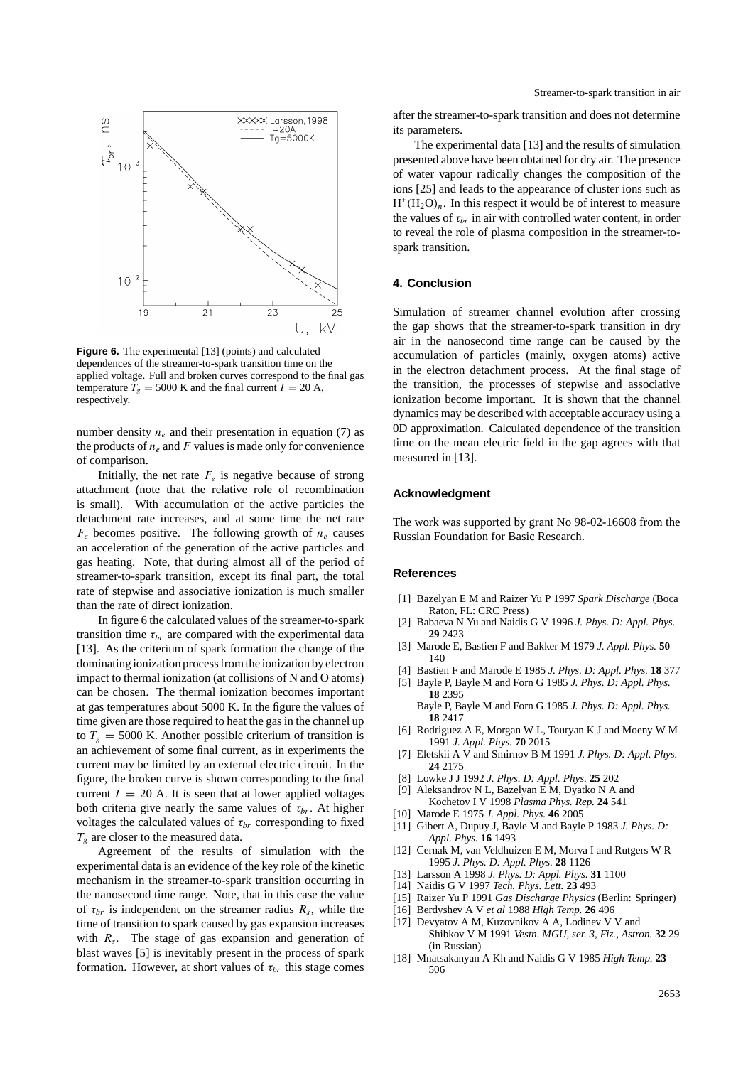

**Figure 6.** The experimental [13] (points) and calculated dependences of the streamer-to-spark transition time on the applied voltage. Full and broken curves correspond to the final gas temperature  $T_g = 5000$  K and the final current  $I = 20$  A, respectively.

number density  $n_e$  and their presentation in equation (7) as the products of  $n_e$  and  $F$  values is made only for convenience of comparison.

Initially, the net rate  $F_e$  is negative because of strong attachment (note that the relative role of recombination is small). With accumulation of the active particles the detachment rate increases, and at some time the net rate  $F_e$  becomes positive. The following growth of  $n_e$  causes an acceleration of the generation of the active particles and gas heating. Note, that during almost all of the period of streamer-to-spark transition, except its final part, the total rate of stepwise and associative ionization is much smaller than the rate of direct ionization.

In figure 6 the calculated values of the streamer-to-spark transition time  $\tau_{br}$  are compared with the experimental data [13]. As the criterium of spark formation the change of the dominating ionization process from the ionization by electron impact to thermal ionization (at collisions of N and O atoms) can be chosen. The thermal ionization becomes important at gas temperatures about 5000 K. In the figure the values of time given are those required to heat the gas in the channel up to  $T_g = 5000$  K. Another possible criterium of transition is an achievement of some final current, as in experiments the current may be limited by an external electric circuit. In the figure, the broken curve is shown corresponding to the final current  $I = 20$  A. It is seen that at lower applied voltages both criteria give nearly the same values of  $\tau_{br}$ . At higher voltages the calculated values of  $\tau_{br}$  corresponding to fixed *Tg* are closer to the measured data.

Agreement of the results of simulation with the experimental data is an evidence of the key role of the kinetic mechanism in the streamer-to-spark transition occurring in the nanosecond time range. Note, that in this case the value of  $\tau_{br}$  is independent on the streamer radius  $R_s$ , while the time of transition to spark caused by gas expansion increases with  $R_s$ . The stage of gas expansion and generation of blast waves [5] is inevitably present in the process of spark formation. However, at short values of  $\tau_{br}$  this stage comes

after the streamer-to-spark transition and does not determine its parameters.

The experimental data [13] and the results of simulation presented above have been obtained for dry air. The presence of water vapour radically changes the composition of the ions [25] and leads to the appearance of cluster ions such as  $H^+(H_2O)_n$ . In this respect it would be of interest to measure the values of  $\tau_{br}$  in air with controlled water content, in order to reveal the role of plasma composition in the streamer-tospark transition.

#### **4. Conclusion**

Simulation of streamer channel evolution after crossing the gap shows that the streamer-to-spark transition in dry air in the nanosecond time range can be caused by the accumulation of particles (mainly, oxygen atoms) active in the electron detachment process. At the final stage of the transition, the processes of stepwise and associative ionization become important. It is shown that the channel dynamics may be described with acceptable accuracy using a 0D approximation. Calculated dependence of the transition time on the mean electric field in the gap agrees with that measured in [13].

#### **Acknowledgment**

The work was supported by grant No 98-02-16608 from the Russian Foundation for Basic Research.

#### **References**

- [1] Bazelyan E M and Raizer Yu P 1997 *Spark Discharge* (Boca Raton, FL: CRC Press)
- [2] Babaeva N Yu and Naidis G V 1996 *J. Phys. D: Appl. Phys.* **29** 2423
- [3] Marode E, Bastien F and Bakker M 1979 *J. Appl. Phys.* **50** 140
- [4] Bastien F and Marode E 1985 *J. Phys. D: Appl. Phys.* **18** 377
- [5] Bayle P, Bayle M and Forn G 1985 *J. Phys. D: Appl. Phys.* **18** 2395
- Bayle P, Bayle M and Forn G 1985 *J. Phys. D: Appl. Phys.* **18** 2417
- [6] Rodriguez A E, Morgan W L, Touryan K J and Moeny W M 1991 *J. Appl. Phys.* **70** 2015
- [7] Eletskii A V and Smirnov B M 1991 *J. Phys. D: Appl. Phys.* **24** 2175
- [8] Lowke J J 1992 *J. Phys. D: Appl. Phys.* **25** 202
- [9] Aleksandrov N L, Bazelyan E M, Dyatko N A and
- Kochetov I V 1998 *Plasma Phys. Rep.* **24** 541
- [10] Marode E 1975 *J. Appl. Phys.* **46** 2005
- [11] Gibert A, Dupuy J, Bayle M and Bayle P 1983 *J. Phys. D: Appl. Phys.* **16** 1493
- [12] Cernak M, van Veldhuizen E M, Morva I and Rutgers W R 1995 *J. Phys. D: Appl. Phys.* **28** 1126
- [13] Larsson A 1998 *J. Phys. D: Appl. Phys.* **31** 1100
- [14] Naidis G V 1997 *Tech. Phys. Lett.* **23** 493
- [15] Raizer Yu P 1991 *Gas Discharge Physics* (Berlin: Springer)
- [16] Berdyshev A V *et al* 1988 *High Temp.* **26** 496
- [17] Devyatov A M, Kuzovnikov A A, Lodinev V V and Shibkov V M 1991 *Vestn. MGU, ser. 3, Fiz., Astron.* **32** 29 (in Russian)
- [18] Mnatsakanyan A Kh and Naidis G V 1985 *High Temp.* **23** 506